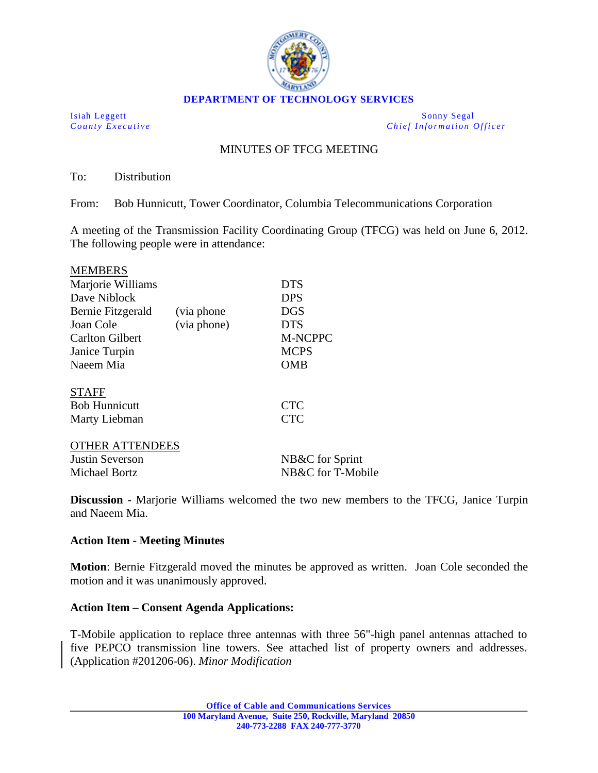

Isiah Leggett Sonny Segal *County Executive Chief Information Officer*

# MINUTES OF TFCG MEETING

To: Distribution

From: Bob Hunnicutt, Tower Coordinator, Columbia Telecommunications Corporation

A meeting of the Transmission Facility Coordinating Group (TFCG) was held on June 6, 2012. The following people were in attendance:

| <b>MEMBERS</b>         |             |                 |
|------------------------|-------------|-----------------|
| Marjorie Williams      |             | <b>DTS</b>      |
| Dave Niblock           |             | <b>DPS</b>      |
| Bernie Fitzgerald      | (via phone) | <b>DGS</b>      |
| Joan Cole              | (via phone) | <b>DTS</b>      |
| <b>Carlton Gilbert</b> |             | <b>M-NCPPC</b>  |
| Janice Turpin          |             | <b>MCPS</b>     |
| Naeem Mia              |             | <b>OMB</b>      |
| <b>STAFF</b>           |             |                 |
| <b>Bob Hunnicutt</b>   |             | <b>CTC</b>      |
| Marty Liebman          |             | <b>CTC</b>      |
| <b>OTHER ATTENDEES</b> |             |                 |
| <b>Justin Severson</b> |             | NB&C for Sprint |

Michael Bortz NB&C for T-Mobile

**Discussion -** Marjorie Williams welcomed the two new members to the TFCG, Janice Turpin and Naeem Mia.

### **Action Item - Meeting Minutes**

**Motion**: Bernie Fitzgerald moved the minutes be approved as written. Joan Cole seconded the motion and it was unanimously approved.

### **Action Item – Consent Agenda Applications:**

T-Mobile application to replace three antennas with three 56"-high panel antennas attached to five PEPCO transmission line towers. See attached list of property owners and addresses. (Application #201206-06). *Minor Modification*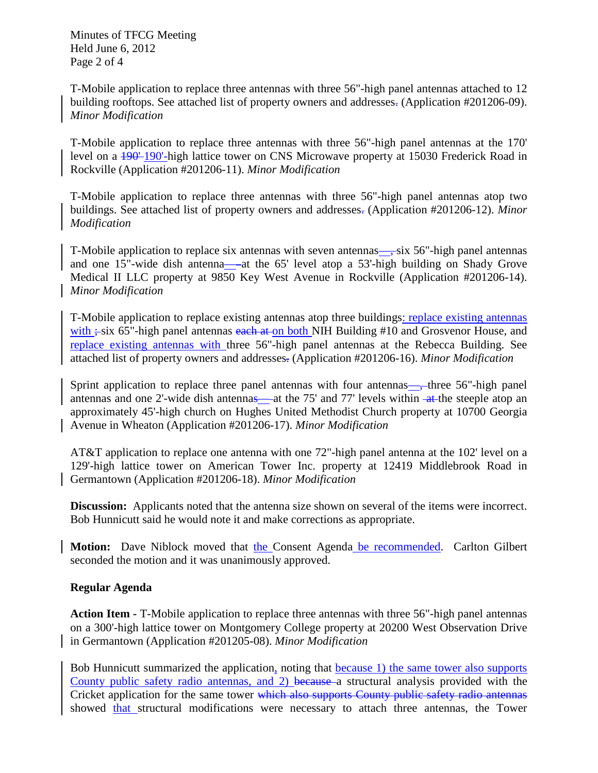Minutes of TFCG Meeting Held June 6, 2012 Page 2 of 4

T-Mobile application to replace three antennas with three 56"-high panel antennas attached to 12 building rooftops. See attached list of property owners and addresses. (Application #201206-09). *Minor Modification*

T-Mobile application to replace three antennas with three 56"-high panel antennas at the 170' level on a  $190-190$ -high lattice tower on CNS Microwave property at 15030 Frederick Road in Rockville (Application #201206-11). *Minor Modification*

T-Mobile application to replace three antennas with three 56"-high panel antennas atop two buildings. See attached list of property owners and addresses. (Application #201206-12). *Minor Modification*

T-Mobile application to replace six antennas with seven antennas—, six 56"-high panel antennas and one 15"-wide dish antenna— at the 65' level atop a 53'-high building on Shady Grove Medical II LLC property at 9850 Key West Avenue in Rockville (Application #201206-14). *Minor Modification*

T-Mobile application to replace existing antennas atop three buildings: replace existing antennas with  $\div$ six 65"-high panel antennas each at on both NIH Building #10 and Grosvenor House, and replace existing antennas with three 56"-high panel antennas at the Rebecca Building. See attached list of property owners and addresses. (Application #201206-16). *Minor Modification*

Sprint application to replace three panel antennas with four antennas—, three 56"-high panel antennas and one 2'-wide dish antennas— at the 75' and 77' levels within at the steeple atop an approximately 45'-high church on Hughes United Methodist Church property at 10700 Georgia Avenue in Wheaton (Application #201206-17). *Minor Modification*

AT&T application to replace one antenna with one 72"-high panel antenna at the 102' level on a 129'-high lattice tower on American Tower Inc. property at 12419 Middlebrook Road in Germantown (Application #201206-18). *Minor Modification*

**Discussion:** Applicants noted that the antenna size shown on several of the items were incorrect. Bob Hunnicutt said he would note it and make corrections as appropriate.

**Motion:** Dave Niblock moved that the Consent Agenda be recommended. Carlton Gilbert seconded the motion and it was unanimously approved.

## **Regular Agenda**

**Action Item -** T-Mobile application to replace three antennas with three 56"-high panel antennas on a 300'-high lattice tower on Montgomery College property at 20200 West Observation Drive in Germantown (Application #201205-08). *Minor Modification*

Bob Hunnicutt summarized the application, noting that because 1) the same tower also supports County public safety radio antennas, and 2) because a structural analysis provided with the Cricket application for the same tower which also supports County public safety radio antennas showed that structural modifications were necessary to attach three antennas, the Tower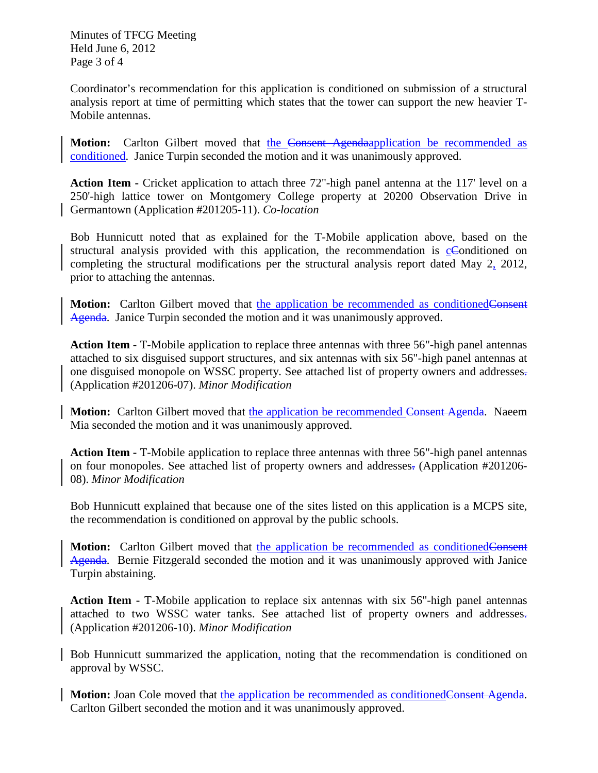Minutes of TFCG Meeting Held June 6, 2012 Page 3 of 4

Coordinator's recommendation for this application is conditioned on submission of a structural analysis report at time of permitting which states that the tower can support the new heavier T-Mobile antennas.

**Motion:** Carlton Gilbert moved that the Consent Agendaapplication be recommended as conditioned. Janice Turpin seconded the motion and it was unanimously approved.

**Action Item -** Cricket application to attach three 72"-high panel antenna at the 117' level on a 250'-high lattice tower on Montgomery College property at 20200 Observation Drive in Germantown (Application #201205-11). *Co-location*

Bob Hunnicutt noted that as explained for the T-Mobile application above, based on the structural analysis provided with this application, the recommendation is  $c$ Conditioned on completing the structural modifications per the structural analysis report dated May 2, 2012, prior to attaching the antennas.

Motion: Carlton Gilbert moved that the application be recommended as conditionedConsent Agenda. Janice Turpin seconded the motion and it was unanimously approved.

**Action Item -** T-Mobile application to replace three antennas with three 56"-high panel antennas attached to six disguised support structures, and six antennas with six 56"-high panel antennas at one disguised monopole on WSSC property. See attached list of property owners and addresses. (Application #201206-07). *Minor Modification*

**Motion:** Carlton Gilbert moved that the application be recommended Consent Agenda. Naeem Mia seconded the motion and it was unanimously approved.

**Action Item -** T-Mobile application to replace three antennas with three 56"-high panel antennas on four monopoles. See attached list of property owners and addresses. (Application #201206- 08). *Minor Modification*

Bob Hunnicutt explained that because one of the sites listed on this application is a MCPS site, the recommendation is conditioned on approval by the public schools.

Motion: Carlton Gilbert moved that the application be recommended as conditionedConsent Agenda. Bernie Fitzgerald seconded the motion and it was unanimously approved with Janice Turpin abstaining.

**Action Item -** T-Mobile application to replace six antennas with six 56"-high panel antennas attached to two WSSC water tanks. See attached list of property owners and addresses. (Application #201206-10). *Minor Modification*

Bob Hunnicutt summarized the application, noting that the recommendation is conditioned on approval by WSSC.

**Motion:** Joan Cole moved that the application be recommended as conditionedConsent Agenda. Carlton Gilbert seconded the motion and it was unanimously approved.